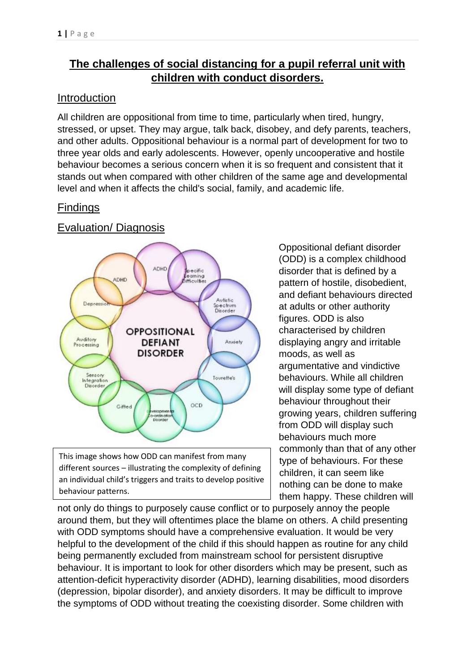# **The challenges of social distancing for a pupil referral unit with children with conduct disorders.**

#### Introduction

All children are oppositional from time to time, particularly when tired, hungry, stressed, or upset. They may argue, talk back, disobey, and defy parents, teachers, and other adults. Oppositional behaviour is a normal part of development for two to three year olds and early adolescents. However, openly uncooperative and hostile behaviour becomes a serious concern when it is so frequent and consistent that it stands out when compared with other children of the same age and developmental level and when it affects the child's social, family, and academic life.

## **Findings**

## Evaluation/ Diagnosis



This image shows how ODD can manifest from many different sources – illustrating the complexity of defining an individual child's triggers and traits to develop positive behaviour patterns.

Oppositional defiant disorder (ODD) is a complex childhood disorder that is defined by a pattern of hostile, disobedient, and defiant behaviours directed at adults or other authority figures. ODD is also characterised by children displaying angry and irritable moods, as well as argumentative and vindictive behaviours. While all children will display some type of defiant behaviour throughout their growing years, children suffering from ODD will display such behaviours much more commonly than that of any other type of behaviours. For these children, it can seem like nothing can be done to make them happy. These children will

not only do things to purposely cause conflict or to purposely annoy the people around them, but they will oftentimes place the blame on others. A child presenting with ODD symptoms should have a comprehensive evaluation. It would be very helpful to the development of the child if this should happen as routine for any child being permanently excluded from mainstream school for persistent disruptive behaviour. It is important to look for other disorders which may be present, such as attention-deficit hyperactivity disorder (ADHD), learning disabilities, mood disorders (depression, bipolar disorder), and anxiety disorders. It may be difficult to improve the symptoms of ODD without treating the coexisting disorder. Some children with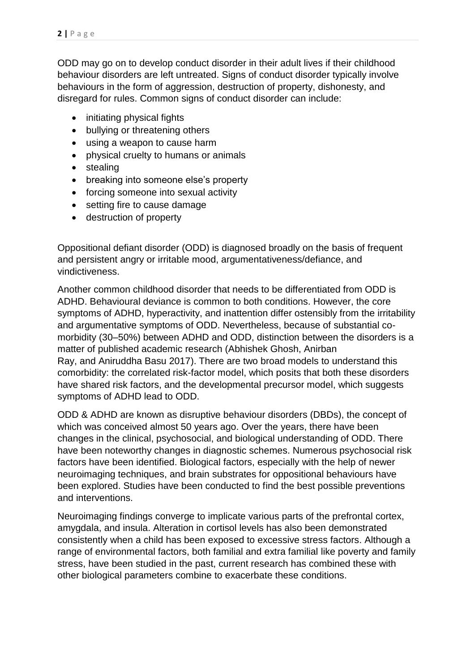ODD may go on to develop conduct disorder in their adult lives if their childhood behaviour disorders are left untreated. Signs of conduct disorder typically involve behaviours in the form of aggression, destruction of property, dishonesty, and disregard for rules. Common signs of conduct disorder can include:

- initiating physical fights
- bullying or threatening others
- using a weapon to cause harm
- physical cruelty to humans or animals
- stealing
- breaking into someone else's property
- forcing someone into sexual activity
- setting fire to cause damage
- destruction of property

Oppositional defiant disorder (ODD) is diagnosed broadly on the basis of frequent and persistent angry or irritable mood, argumentativeness/defiance, and vindictiveness.

Another common childhood disorder that needs to be differentiated from ODD is ADHD. Behavioural deviance is common to both conditions. However, the core symptoms of ADHD, hyperactivity, and inattention differ ostensibly from the irritability and argumentative symptoms of ODD. Nevertheless, because of substantial comorbidity (30–50%) between ADHD and ODD, distinction between the disorders is a matter of published academic research (Abhishek Ghosh, Anirban Ray, and Aniruddha Basu 2017). There are two broad models to understand this comorbidity: the correlated risk-factor model, which posits that both these disorders have shared risk factors, and the developmental precursor model, which suggests symptoms of ADHD lead to ODD.

ODD & ADHD are known as disruptive behaviour disorders (DBDs), the concept of which was conceived almost 50 years ago. Over the years, there have been changes in the clinical, psychosocial, and biological understanding of ODD. There have been noteworthy changes in diagnostic schemes. Numerous psychosocial risk factors have been identified. Biological factors, especially with the help of newer neuroimaging techniques, and brain substrates for oppositional behaviours have been explored. Studies have been conducted to find the best possible preventions and interventions.

Neuroimaging findings converge to implicate various parts of the prefrontal cortex, amygdala, and insula. Alteration in cortisol levels has also been demonstrated consistently when a child has been exposed to excessive stress factors. Although a range of environmental factors, both familial and extra familial like poverty and family stress, have been studied in the past, current research has combined these with other biological parameters combine to exacerbate these conditions.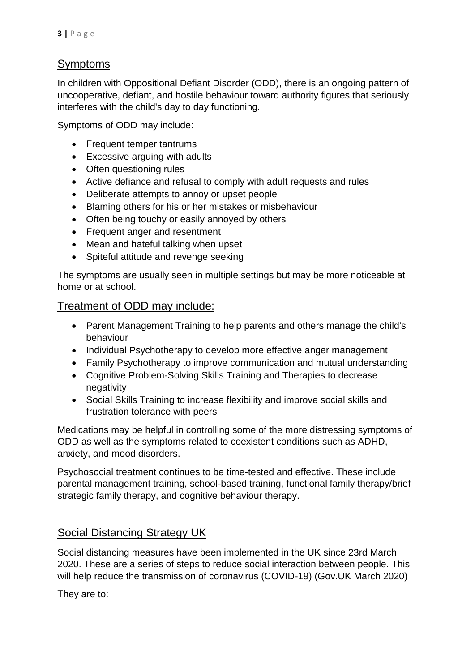# Symptoms

In children with Oppositional Defiant Disorder (ODD), there is an ongoing pattern of uncooperative, defiant, and hostile behaviour toward authority figures that seriously interferes with the child's day to day functioning.

Symptoms of ODD may include:

- Frequent temper tantrums
- Excessive arguing with adults
- Often questioning rules
- Active defiance and refusal to comply with adult requests and rules
- Deliberate attempts to annoy or upset people
- Blaming others for his or her mistakes or misbehaviour
- Often being touchy or easily annoyed by others
- Frequent anger and resentment
- Mean and hateful talking when upset
- Spiteful attitude and revenge seeking

The symptoms are usually seen in multiple settings but may be more noticeable at home or at school.

### Treatment of ODD may include:

- Parent Management Training to help parents and others manage the child's behaviour
- Individual Psychotherapy to develop more effective anger management
- Family Psychotherapy to improve communication and mutual understanding
- Cognitive Problem-Solving Skills Training and Therapies to decrease negativity
- Social Skills Training to increase flexibility and improve social skills and frustration tolerance with peers

Medications may be helpful in controlling some of the more distressing symptoms of ODD as well as the symptoms related to coexistent conditions such as ADHD, anxiety, and mood disorders.

Psychosocial treatment continues to be time-tested and effective. These include parental management training, school-based training, functional family therapy/brief strategic family therapy, and cognitive behaviour therapy.

## Social Distancing Strategy UK

Social distancing measures have been implemented in the UK since 23rd March 2020. These are a series of steps to reduce social interaction between people. This will help reduce the transmission of coronavirus (COVID-19) (Gov.UK March 2020)

They are to: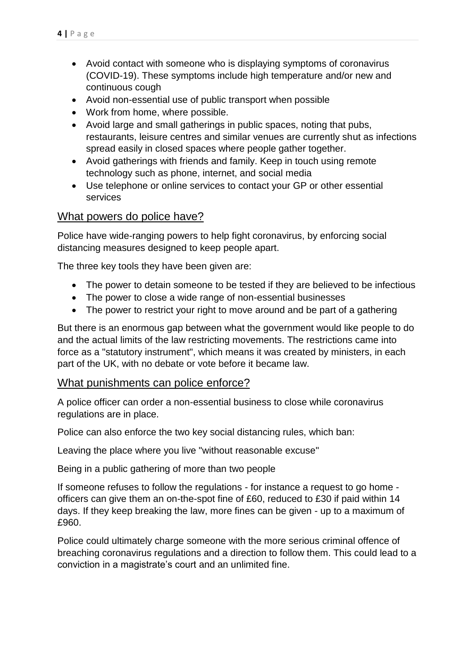- Avoid contact with someone who is displaying symptoms of coronavirus (COVID-19). These symptoms include high temperature and/or new and continuous cough
- Avoid non-essential use of public transport when possible
- Work from home, where possible.
- Avoid large and small gatherings in public spaces, noting that pubs, restaurants, leisure centres and similar venues are currently shut as infections spread easily in closed spaces where people gather together.
- Avoid gatherings with friends and family. Keep in touch using remote technology such as phone, internet, and social media
- Use telephone or online services to contact your GP or other essential services

#### What powers do police have?

Police have wide-ranging powers to help fight coronavirus, by enforcing social distancing measures designed to keep people apart.

The three key tools they have been given are:

- The power to detain someone to be tested if they are believed to be infectious
- The power to close a wide range of non-essential businesses
- The power to restrict your right to move around and be part of a gathering

But there is an enormous gap between what the government would like people to do and the actual limits of the law restricting movements. The restrictions came into force as a "statutory instrument", which means it was created by ministers, in each part of the UK, with no debate or vote before it became law.

#### What punishments can police enforce?

A police officer can order a non-essential business to close while coronavirus regulations are in place.

Police can also enforce the two key social distancing rules, which ban:

Leaving the place where you live "without reasonable excuse"

Being in a public gathering of more than two people

If someone refuses to follow the regulations - for instance a request to go home officers can give them an on-the-spot fine of £60, reduced to £30 if paid within 14 days. If they keep breaking the law, more fines can be given - up to a maximum of £960.

Police could ultimately charge someone with the more serious criminal offence of breaching coronavirus regulations and a direction to follow them. This could lead to a conviction in a magistrate's court and an unlimited fine.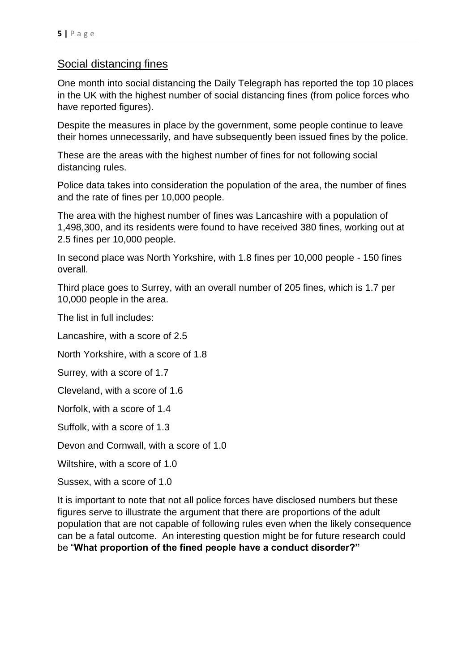## Social distancing fines

One month into social distancing the Daily Telegraph has reported the top 10 places in the UK with the highest number of social distancing fines (from police forces who have reported figures).

Despite the measures in place by the government, some people continue to leave their homes unnecessarily, and have subsequently been issued fines by the police.

These are the areas with the highest number of fines for not following social distancing rules.

Police data takes into consideration the population of the area, the number of fines and the rate of fines per 10,000 people.

The area with the highest number of fines was Lancashire with a population of 1,498,300, and its residents were found to have received 380 fines, working out at 2.5 fines per 10,000 people.

In second place was North Yorkshire, with 1.8 fines per 10,000 people - 150 fines overall.

Third place goes to Surrey, with an overall number of 205 fines, which is 1.7 per 10,000 people in the area.

The list in full includes:

Lancashire, with a score of 2.5

North Yorkshire, with a score of 1.8

Surrey, with a score of 1.7

Cleveland, with a score of 1.6

Norfolk, with a score of 1.4

Suffolk, with a score of 1.3

Devon and Cornwall, with a score of 1.0

Wiltshire, with a score of 1.0

Sussex, with a score of 1.0

It is important to note that not all police forces have disclosed numbers but these figures serve to illustrate the argument that there are proportions of the adult population that are not capable of following rules even when the likely consequence can be a fatal outcome. An interesting question might be for future research could be "**What proportion of the fined people have a conduct disorder?"**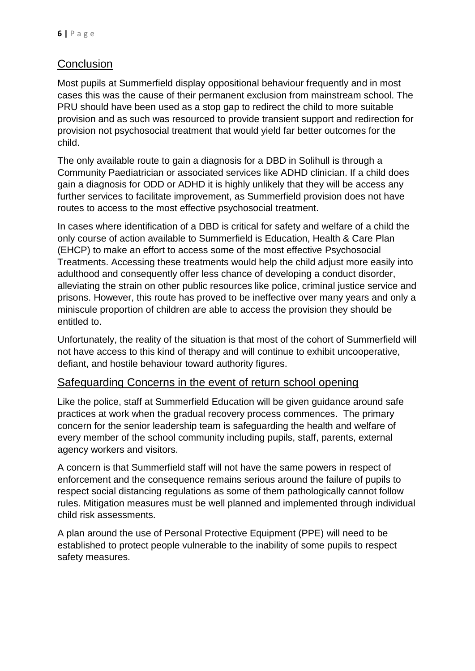## **Conclusion**

Most pupils at Summerfield display oppositional behaviour frequently and in most cases this was the cause of their permanent exclusion from mainstream school. The PRU should have been used as a stop gap to redirect the child to more suitable provision and as such was resourced to provide transient support and redirection for provision not psychosocial treatment that would yield far better outcomes for the child.

The only available route to gain a diagnosis for a DBD in Solihull is through a Community Paediatrician or associated services like ADHD clinician. If a child does gain a diagnosis for ODD or ADHD it is highly unlikely that they will be access any further services to facilitate improvement, as Summerfield provision does not have routes to access to the most effective psychosocial treatment.

In cases where identification of a DBD is critical for safety and welfare of a child the only course of action available to Summerfield is Education, Health & Care Plan (EHCP) to make an effort to access some of the most effective Psychosocial Treatments. Accessing these treatments would help the child adjust more easily into adulthood and consequently offer less chance of developing a conduct disorder, alleviating the strain on other public resources like police, criminal justice service and prisons. However, this route has proved to be ineffective over many years and only a miniscule proportion of children are able to access the provision they should be entitled to.

Unfortunately, the reality of the situation is that most of the cohort of Summerfield will not have access to this kind of therapy and will continue to exhibit uncooperative, defiant, and hostile behaviour toward authority figures.

#### Safeguarding Concerns in the event of return school opening

Like the police, staff at Summerfield Education will be given guidance around safe practices at work when the gradual recovery process commences. The primary concern for the senior leadership team is safeguarding the health and welfare of every member of the school community including pupils, staff, parents, external agency workers and visitors.

A concern is that Summerfield staff will not have the same powers in respect of enforcement and the consequence remains serious around the failure of pupils to respect social distancing regulations as some of them pathologically cannot follow rules. Mitigation measures must be well planned and implemented through individual child risk assessments.

A plan around the use of Personal Protective Equipment (PPE) will need to be established to protect people vulnerable to the inability of some pupils to respect safety measures.